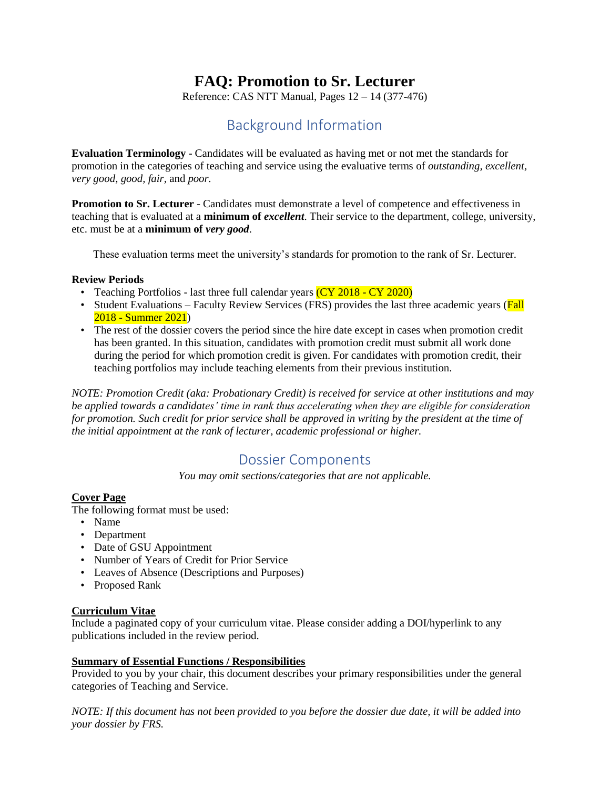# **FAQ: Promotion to Sr. Lecturer**

Reference: CAS NTT Manual, Pages  $12 - 14$  (377-476)

# Background Information

**Evaluation Terminology** - Candidates will be evaluated as having met or not met the standards for promotion in the categories of teaching and service using the evaluative terms of *outstanding, excellent, very good, good, fair,* and *poor.*

**Promotion to Sr. Lecturer** - Candidates must demonstrate a level of competence and effectiveness in teaching that is evaluated at a **minimum of** *excellent*. Their service to the department, college, university, etc. must be at a **minimum of** *very good*.

These evaluation terms meet the university's standards for promotion to the rank of Sr. Lecturer.

## **Review Periods**

- Teaching Portfolios last three full calendar years  $(CY 2018 CY 2020)$
- Student Evaluations Faculty Review Services (FRS) provides the last three academic years (Fall 2018 - Summer 2021)
- The rest of the dossier covers the period since the hire date except in cases when promotion credit has been granted. In this situation, candidates with promotion credit must submit all work done during the period for which promotion credit is given. For candidates with promotion credit, their teaching portfolios may include teaching elements from their previous institution.

*NOTE: Promotion Credit (aka: Probationary Credit) is received for service at other institutions and may be applied towards a candidates' time in rank thus accelerating when they are eligible for consideration for promotion. Such credit for prior service shall be approved in writing by the president at the time of the initial appointment at the rank of lecturer, academic professional or higher.*

## Dossier Components

*You may omit sections/categories that are not applicable.*

## **Cover Page**

The following format must be used:

- Name
- Department
- Date of GSU Appointment
- Number of Years of Credit for Prior Service
- Leaves of Absence (Descriptions and Purposes)
- Proposed Rank

## **Curriculum Vitae**

Include a paginated copy of your curriculum vitae. Please consider adding a DOI/hyperlink to any publications included in the review period.

## **Summary of Essential Functions / Responsibilities**

Provided to you by your chair, this document describes your primary responsibilities under the general categories of Teaching and Service.

*NOTE: If this document has not been provided to you before the dossier due date, it will be added into your dossier by FRS.*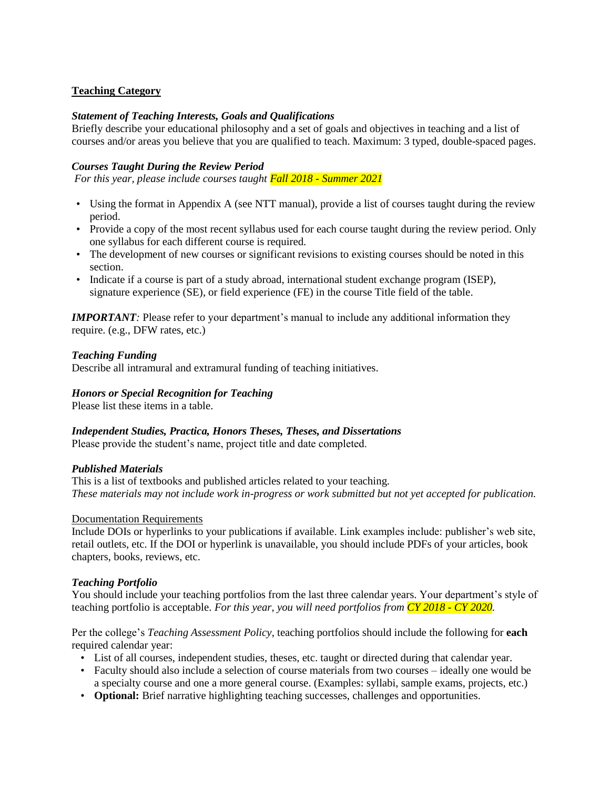## **Teaching Category**

## *Statement of Teaching Interests, Goals and Qualifications*

Briefly describe your educational philosophy and a set of goals and objectives in teaching and a list of courses and/or areas you believe that you are qualified to teach. Maximum: 3 typed, double-spaced pages.

## *Courses Taught During the Review Period*

*For this year, please include courses taught Fall 2018 - Summer 2021*

- Using the format in Appendix A (see NTT manual), provide a list of courses taught during the review period.
- Provide a copy of the most recent syllabus used for each course taught during the review period. Only one syllabus for each different course is required.
- The development of new courses or significant revisions to existing courses should be noted in this section.
- Indicate if a course is part of a study abroad, international student exchange program (ISEP), signature experience (SE), or field experience (FE) in the course Title field of the table.

*IMPORTANT*: Please refer to your department's manual to include any additional information they require. (e.g., DFW rates, etc.)

## *Teaching Funding*

Describe all intramural and extramural funding of teaching initiatives.

#### *Honors or Special Recognition for Teaching*

Please list these items in a table.

## *Independent Studies, Practica, Honors Theses, Theses, and Dissertations*

Please provide the student's name, project title and date completed.

## *Published Materials*

This is a list of textbooks and published articles related to your teaching. *These materials may not include work in-progress or work submitted but not yet accepted for publication.*

#### Documentation Requirements

Include DOIs or hyperlinks to your publications if available. Link examples include: publisher's web site, retail outlets, etc. If the DOI or hyperlink is unavailable, you should include PDFs of your articles, book chapters, books, reviews, etc.

## *Teaching Portfolio*

You should include your teaching portfolios from the last three calendar years. Your department's style of teaching portfolio is acceptable. *For this year, you will need portfolios from CY 2018 - CY 2020.*

Per the college's *Teaching Assessment Policy*, teaching portfolios should include the following for **each** required calendar year:

- List of all courses, independent studies, theses, etc. taught or directed during that calendar year.
- Faculty should also include a selection of course materials from two courses ideally one would be a specialty course and one a more general course. (Examples: syllabi, sample exams, projects, etc.)
- **Optional:** Brief narrative highlighting teaching successes, challenges and opportunities.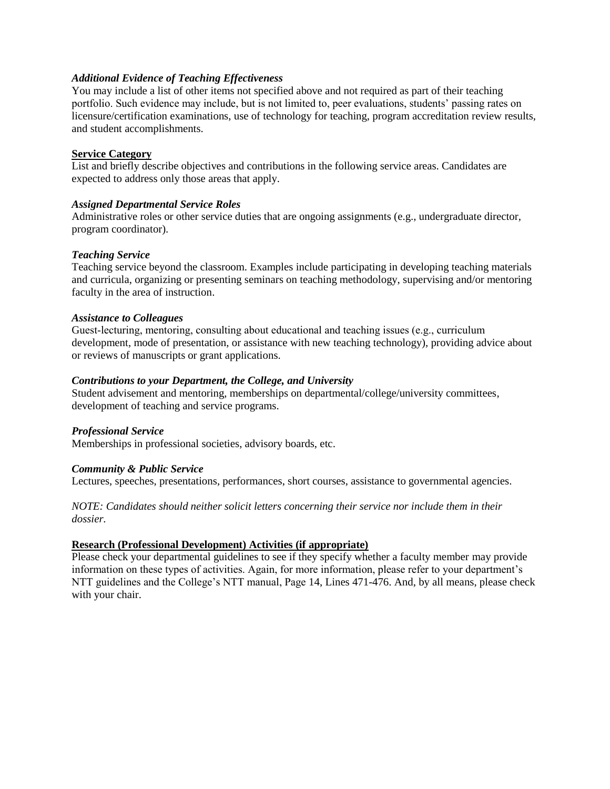#### *Additional Evidence of Teaching Effectiveness*

You may include a list of other items not specified above and not required as part of their teaching portfolio. Such evidence may include, but is not limited to, peer evaluations, students' passing rates on licensure/certification examinations, use of technology for teaching, program accreditation review results, and student accomplishments.

#### **Service Category**

List and briefly describe objectives and contributions in the following service areas. Candidates are expected to address only those areas that apply.

#### *Assigned Departmental Service Roles*

Administrative roles or other service duties that are ongoing assignments (e.g., undergraduate director, program coordinator).

#### *Teaching Service*

Teaching service beyond the classroom. Examples include participating in developing teaching materials and curricula, organizing or presenting seminars on teaching methodology, supervising and/or mentoring faculty in the area of instruction.

#### *Assistance to Colleagues*

Guest-lecturing, mentoring, consulting about educational and teaching issues (e.g., curriculum development, mode of presentation, or assistance with new teaching technology), providing advice about or reviews of manuscripts or grant applications.

#### *Contributions to your Department, the College, and University*

Student advisement and mentoring, memberships on departmental/college/university committees, development of teaching and service programs.

#### *Professional Service*

Memberships in professional societies, advisory boards, etc.

#### *Community & Public Service*

Lectures, speeches, presentations, performances, short courses, assistance to governmental agencies.

## *NOTE: Candidates should neither solicit letters concerning their service nor include them in their dossier.*

## **Research (Professional Development) Activities (if appropriate)**

Please check your departmental guidelines to see if they specify whether a faculty member may provide information on these types of activities. Again, for more information, please refer to your department's NTT guidelines and the College's NTT manual, Page 14, Lines 471-476. And, by all means, please check with your chair.